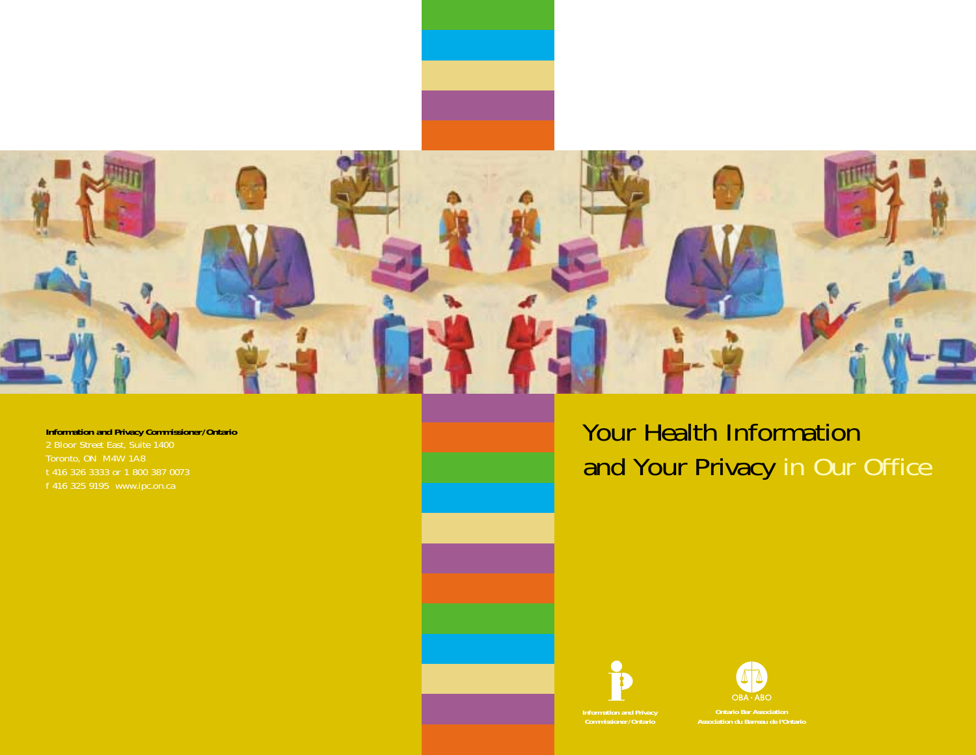

**Information and Privacy Commissioner/Ontario** 2 Bloor Street East, Suite 1400 Toronto, ON M4W 1A8

Your Health Information and Your Privacy in Our Office



**Information and Privacy**



**Contario Bar Association**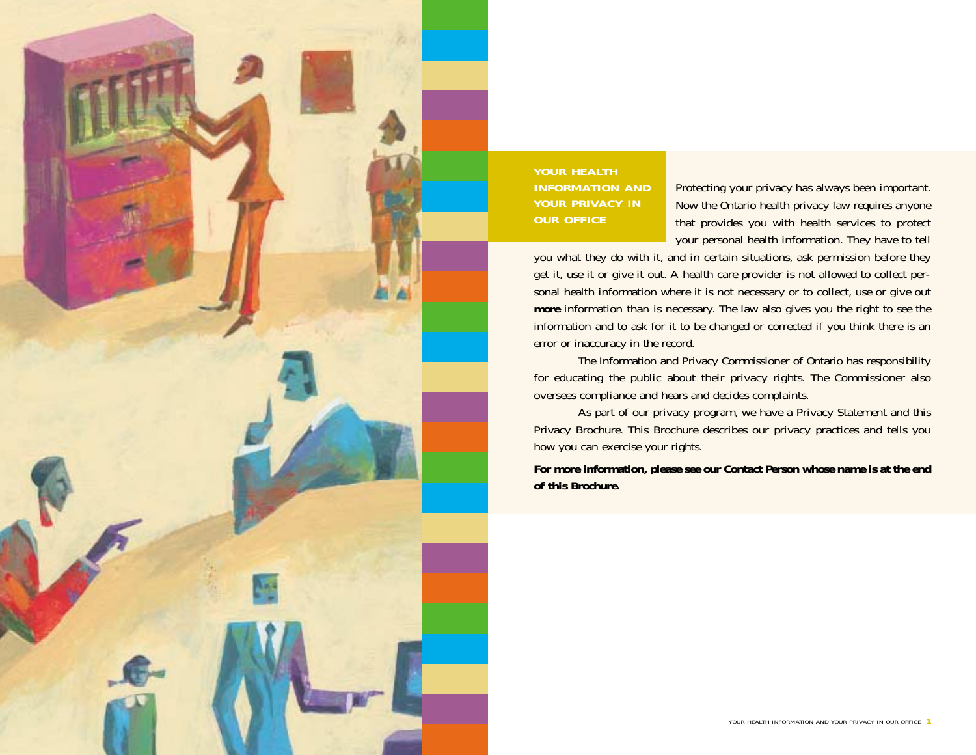

Protecting your privacy has always been important. Now the Ontario health privacy law requires anyone that provides you with health services to protect your personal health information. They have to tell

you what they do with it, and in certain situations, ask permission before they get it, use it or give it out. A health care provider is not allowed to collect personal health information where it is not necessary or to collect, use or give out **more** information than is necessary. The law also gives you the right to see the information and to ask for it to be changed or corrected if you think there is an error or inaccuracy in the record.

The Information and Privacy Commissioner of Ontario has responsibility for educating the public about their privacy rights. The Commissioner also oversees compliance and hears and decides complaints.

As part of our privacy program, we have a Privacy Statement and this Privacy Brochure. This Brochure describes our privacy practices and tells you how you can exercise your rights.

**For more information, please see our Contact Person whose name is at the end of this Brochure.**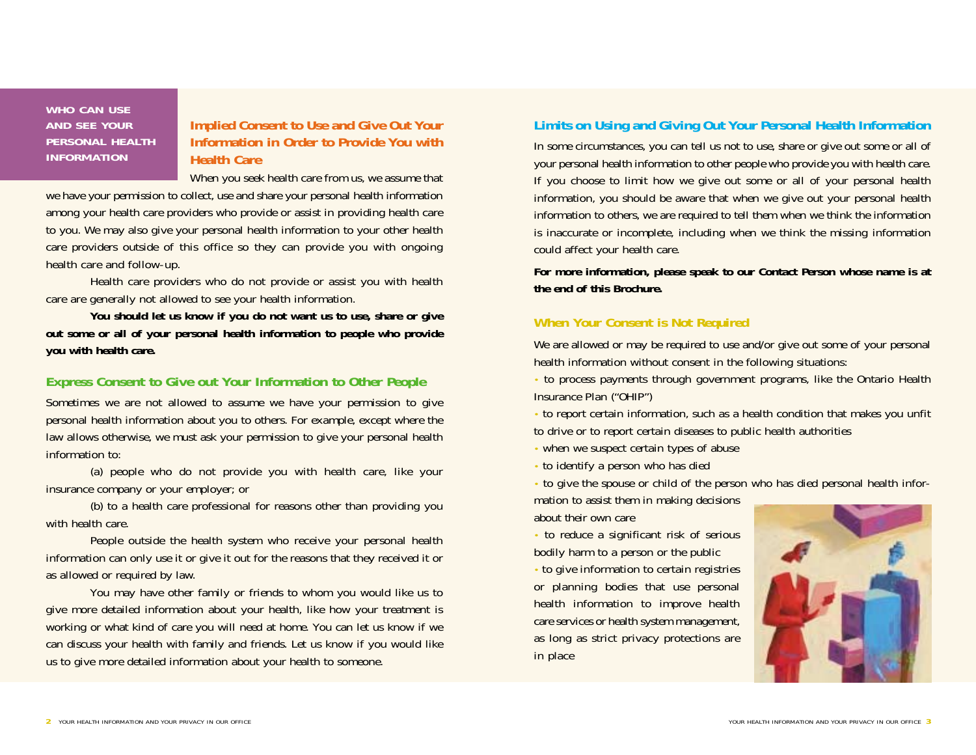**WHO CAN USE AND SEE YOUR PERSONAL HEALTH INFORMATION** 

# **Implied Consent to Use and Give Out Your Information in Order to Provide You with Health Care**

When you seek health care from us, we assume that we have your permission to collect, use and share your personal health information among your health care providers who provide or assist in providing health care to you. We may also give your personal health information to your other health care providers outside of this office so they can provide you with ongoing health care and follow-up.

Health care providers who do not provide or assist you with health care are generally not allowed to see your health information.

**You should let us know if you do not want us to use, share or give out some or all of your personal health information to people who provide you with health care.**

### **Express Consent to Give out Your Information to Other People**

Sometimes we are not allowed to assume we have your permission to give personal health information about you to others. For example, except where the law allows otherwise, we must ask your permission to give your personal health information to:

(a) people who do not provide you with health care, like your insurance company or your employer; or

(b) to a health care professional for reasons other than providing you with health care.

People outside the health system who receive your personal health information can only use it or give it out for the reasons that they received it or as allowed or required by law.

You may have other family or friends to whom you would like us to give more detailed information about your health, like how your treatment is working or what kind of care you will need at home. You can let us know if we can discuss your health with family and friends. Let us know if you would like us to give more detailed information about your health to someone.

## **Limits on Using and Giving Out Your Personal Health Information**

In some circumstances, you can tell us not to use, share or give out some or all of your personal health information to other people who provide you with health care. If you choose to limit how we give out some or all of your personal health information, you should be aware that when we give out your personal health information to others, we are required to tell them when we think the information is inaccurate or incomplete, including when we think the missing information could affect your health care.

**For more information, please speak to our Contact Person whose name is at the end of this Brochure.**

## **When Your Consent is Not Required**

We are allowed or may be required to use and/or give out some of your personal health information without consent in the following situations:

• to process payments through government programs, like the Ontario Health Insurance Plan ("OHIP")

• to report certain information, such as a health condition that makes you unfit to drive or to report certain diseases to public health authorities

• when we suspect certain types of abuse

• to identify a person who has died

• to give the spouse or child of the person who has died personal health infor-

mation to assist them in making decisions about their own care

• to reduce a significant risk of serious bodily harm to a person or the public

• to give information to certain registries or planning bodies that use personal health information to improve health care services or health system management, as long as strict privacy protections are in place

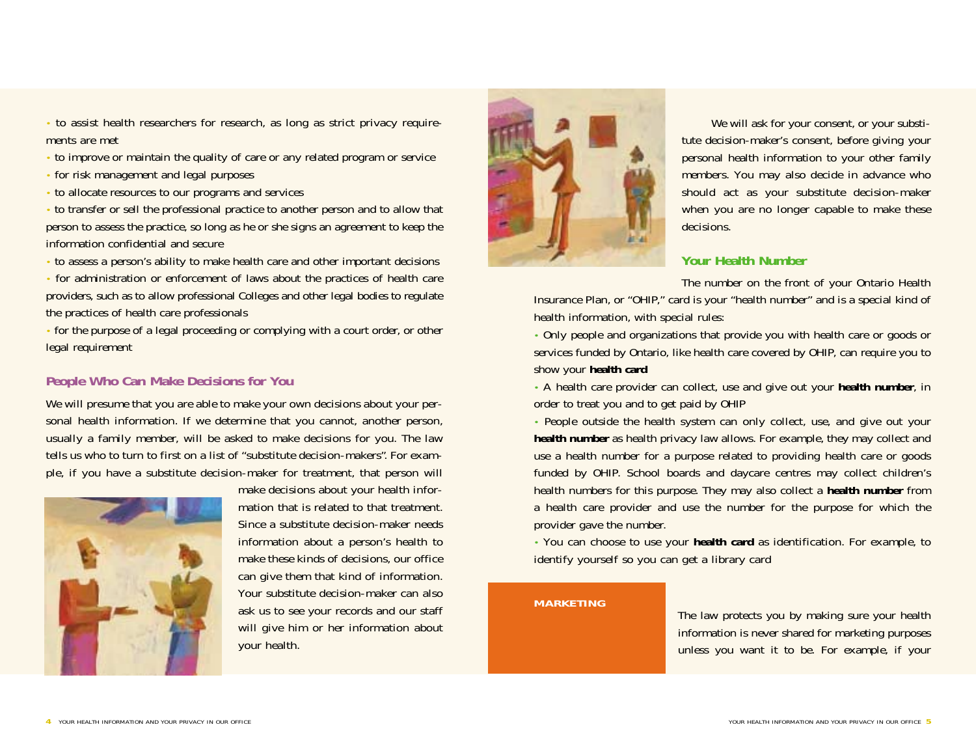• to assist health researchers for research, as long as strict privacy requirements are met

- to improve or maintain the quality of care or any related program or service
- for risk management and legal purposes
- to allocate resources to our programs and services

• to transfer or sell the professional practice to another person and to allow that person to assess the practice, so long as he or she signs an agreement to keep the information confidential and secure

• to assess a person's ability to make health care and other important decisions

• for administration or enforcement of laws about the practices of health care providers, such as to allow professional Colleges and other legal bodies to regulate the practices of health care professionals

• for the purpose of a legal proceeding or complying with a court order, or other legal requirement

## **People Who Can Make Decisions for You**

We will presume that you are able to make your own decisions about your personal health information. If we determine that you cannot, another person, usually a family member, will be asked to make decisions for you. The law tells us who to turn to first on a list of "substitute decision-makers". For example, if you have a substitute decision-maker for treatment, that person will



make decisions about your health information that is related to that treatment. Since a substitute decision-maker needs information about a person's health to make these kinds of decisions, our office can give them that kind of information. Your substitute decision-maker can also ask us to see your records and our staff will give him or her information about your health.



We will ask for your consent, or your substitute decision-maker's consent, before giving your personal health information to your other family members. You may also decide in advance who should act as your substitute decision-maker when you are no longer capable to make these decisions.

### **Your Health Number**

The number on the front of your Ontario Health

Insurance Plan, or "OHIP," card is your "health number" and is a special kind of health information, with special rules:

• Only people and organizations that provide you with health care or goods or services funded by Ontario, like health care covered by OHIP, can require you to show your **health card**

• A health care provider can collect, use and give out your **health number**, in order to treat you and to get paid by OHIP

• People outside the health system can only collect, use, and give out your **health number** as health privacy law allows. For example, they may collect and use a health number for a purpose related to providing health care or goods funded by OHIP. School boards and daycare centres may collect children's health numbers for this purpose. They may also collect a **health number** from a health care provider and use the number for the purpose for which the provider gave the number.

• You can choose to use your **health card** as identification. For example, to identify yourself so you can get a library card

#### **MARKETING**

The law protects you by making sure your health information is never shared for marketing purposes unless you want it to be. For example, if your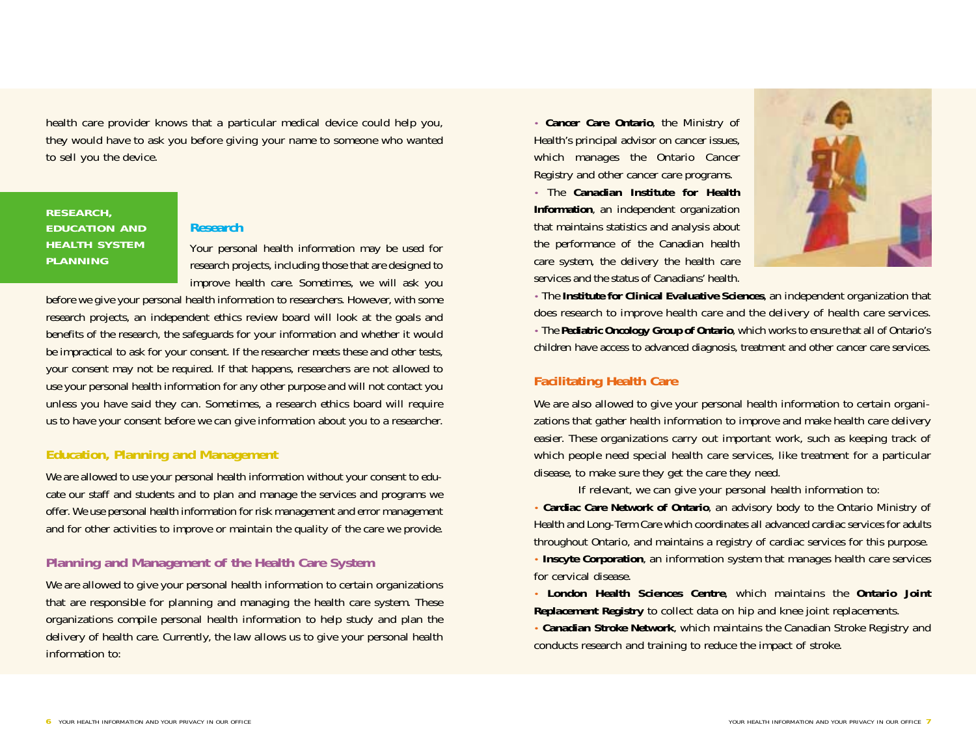health care provider knows that a particular medical device could help you, they would have to ask you before giving your name to someone who wanted to sell you the device.

## **RESEARCH, EDUCATION AND HEALTH SYSTEM PLANNING**

#### **Research**

Your personal health information may be used for research projects, including those that are designed to improve health care. Sometimes, we will ask you

before we give your personal health information to researchers. However, with some research projects, an independent ethics review board will look at the goals and benefits of the research, the safeguards for your information and whether it would be impractical to ask for your consent. If the researcher meets these and other tests, your consent may not be required. If that happens, researchers are not allowed to use your personal health information for any other purpose and will not contact you unless you have said they can. Sometimes, a research ethics board will require us to have your consent before we can give information about you to a researcher.

## **Education, Planning and Management**

We are allowed to use your personal health information without your consent to educate our staff and students and to plan and manage the services and programs we offer. We use personal health information for risk management and error management and for other activities to improve or maintain the quality of the care we provide.

### **Planning and Management of the Health Care System**

We are allowed to give your personal health information to certain organizations that are responsible for planning and managing the health care system. These organizations compile personal health information to help study and plan the delivery of health care. Currently, the law allows us to give your personal health information to:

• **Cancer Care Ontario**, the Ministry of Health's principal advisor on cancer issues, which manages the Ontario Cancer Registry and other cancer care programs.

• The **Canadian Institute for Health Information**, an independent organization that maintains statistics and analysis about the performance of the Canadian health care system, the delivery the health care services and the status of Canadians' health.



• The **Institute for Clinical Evaluative Sciences**, an independent organization that does research to improve health care and the delivery of health care services. • The **Pediatric Oncology Group of Ontario**, which works to ensure that all of Ontario's children have access to advanced diagnosis, treatment and other cancer care services.

### **Facilitating Health Care**

We are also allowed to give your personal health information to certain organizations that gather health information to improve and make health care delivery easier. These organizations carry out important work, such as keeping track of which people need special health care services, like treatment for a particular disease, to make sure they get the care they need.

If relevant, we can give your personal health information to:

• **Cardiac Care Network of Ontario**, an advisory body to the Ontario Ministry of Health and Long-Term Care which coordinates all advanced cardiac services for adults throughout Ontario, and maintains a registry of cardiac services for this purpose.

• **Inscyte Corporation**, an information system that manages health care services for cervical disease.

• **London Health Sciences Centre**, which maintains the **Ontario Joint Replacement Registry** to collect data on hip and knee joint replacements.

• **Canadian Stroke Network**, which maintains the Canadian Stroke Registry and conducts research and training to reduce the impact of stroke.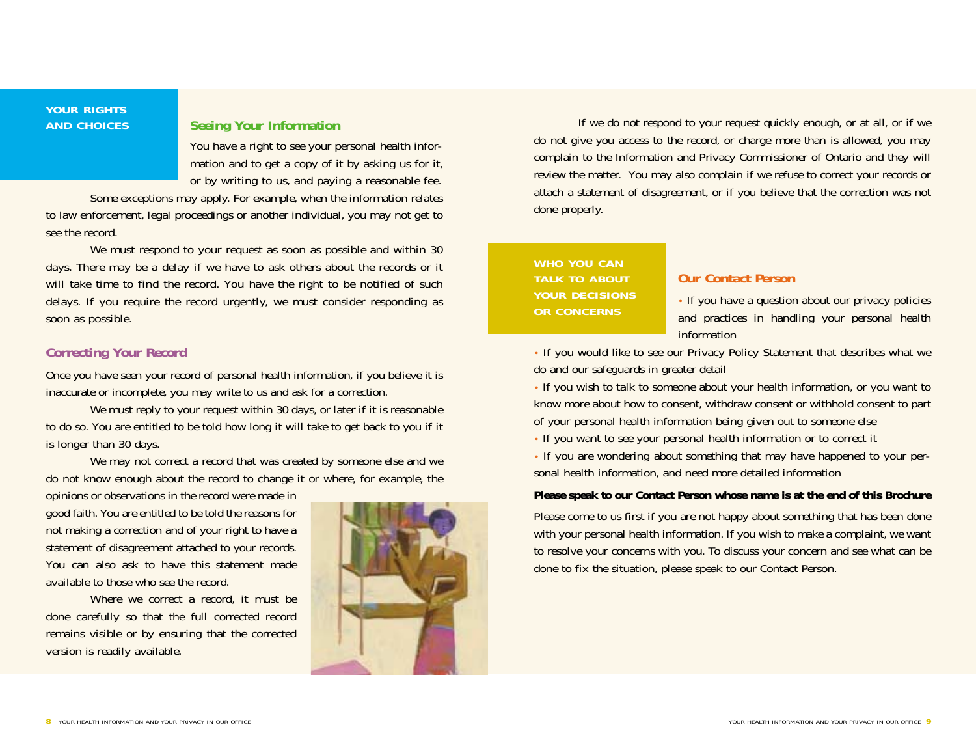#### **YOUR RIGHTS AND CHOICES**

## **Seeing Your Information**

You have a right to see your personal health information and to get a copy of it by asking us for it, or by writing to us, and paying a reasonable fee.

Some exceptions may apply. For example, when the information relates to law enforcement, legal proceedings or another individual, you may not get to see the record.

We must respond to your request as soon as possible and within 30 days. There may be a delay if we have to ask others about the records or it will take time to find the record. You have the right to be notified of such delays. If you require the record urgently, we must consider responding as soon as possible.

### **Correcting Your Record**

Once you have seen your record of personal health information, if you believe it is inaccurate or incomplete, you may write to us and ask for a correction.

We must reply to your request within 30 days, or later if it is reasonable to do so. You are entitled to be told how long it will take to get back to you if it is longer than 30 days.

We may not correct a record that was created by someone else and we do not know enough about the record to change it or where, for example, the

opinions or observations in the record were made in good faith. You are entitled to be told the reasons for not making a correction and of your right to have a statement of disagreement attached to your records. You can also ask to have this statement made available to those who see the record.

Where we correct a record, it must be done carefully so that the full corrected record remains visible or by ensuring that the corrected version is readily available.



If we do not respond to your request quickly enough, or at all, or if we do not give you access to the record, or charge more than is allowed, you may complain to the Information and Privacy Commissioner of Ontario and they will review the matter. You may also complain if we refuse to correct your records or attach a statement of disagreement, or if you believe that the correction was not done properly.

# **WHO YOU CAN TALK TO ABOUT YOUR DECISIONS OR CONCERNS**

### **Our Contact Person**

• If you have a question about our privacy policies and practices in handling your personal health information

• If you would like to see our Privacy Policy Statement that describes what we do and our safeguards in greater detail

• If you wish to talk to someone about your health information, or you want to know more about how to consent, withdraw consent or withhold consent to part of your personal health information being given out to someone else

• If you want to see your personal health information or to correct it

• If you are wondering about something that may have happened to your personal health information, and need more detailed information

#### **Please speak to our Contact Person whose name is at the end of this Brochure**

Please come to us first if you are not happy about something that has been done with your personal health information. If you wish to make a complaint, we want to resolve your concerns with you. To discuss your concern and see what can be done to fix the situation, please speak to our Contact Person.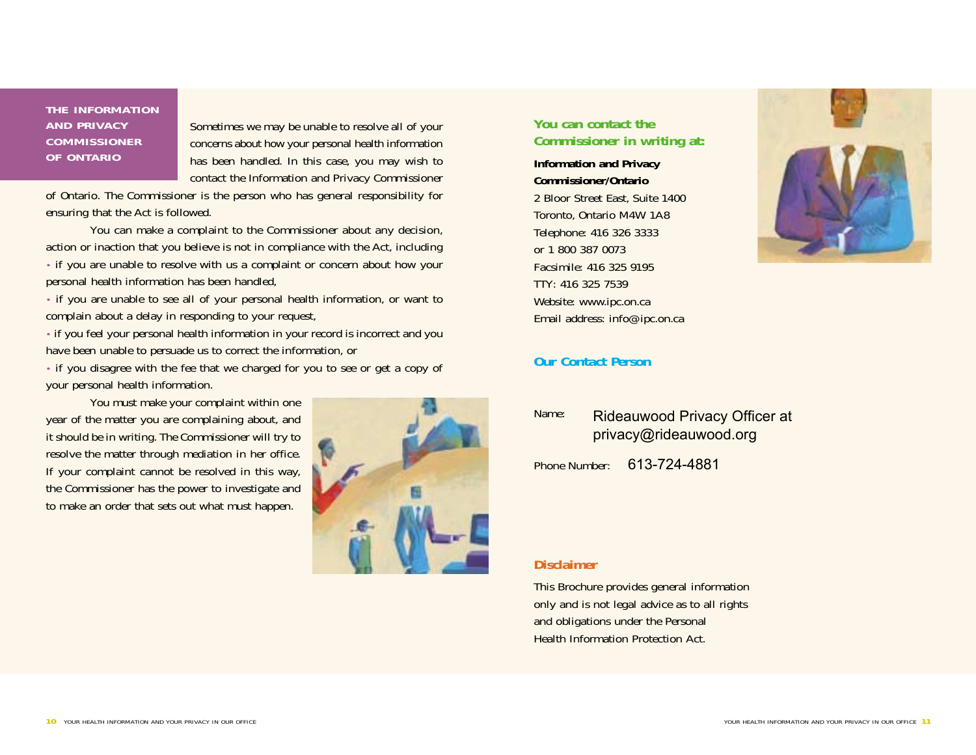### **THE INFORMATION AND PRIVACY COMMISSIONER OF ONTARIO**

Sometimes we may be unable to resolve all of your concerns about how your personal health information has been handled. In this case, you may wish to contact the Information and Privacy Commissioner

of Ontario. The Commissioner is the person who has general responsibility for ensuring that the Act is followed.

You can make a complaint to the Commissioner about any decision, action or inaction that you believe is not in compliance with the Act, including • if you are unable to resolve with us a complaint or concern about how your personal health information has been handled,

• if you are unable to see all of your personal health information, or want to complain about a delay in responding to your request,

• if you feel your personal health information in your record is incorrect and you have been unable to persuade us to correct the information, or

• if you disagree with the fee that we charged for you to see or get a copy of your personal health information.

You must make your complaint within one year of the matter you are complaining about, and it should be in writing. The Commissioner will try to resolve the matter through mediation in her office. If your complaint cannot be resolved in this way, the Commissioner has the power to investigate and to make an order that sets out what must happen.



## **You can contact the Commissioner in writing at:**

**Information and Privacy Commissioner/Ontario**  2 Bloor Street East, Suite 1400 Toronto, Ontario M4W 1A8 Telephone: 416 326 3333 or 1 800 387 0073 Facsimile: 416 325 9195 TTY: 416 325 7539 Website: www.ipc.on.ca Email address: info@ipc.on.ca



### **Our Contact Person**

| Name: | Rideauwood Privacy Officer at |
|-------|-------------------------------|
|       | privacy@rideauwood.org        |

Phone Number: 613-724-4881

#### **Disclaimer**

This Brochure provides general information only and is not legal advice as to all rights and obligations under the Personal Health Information Protection Act.